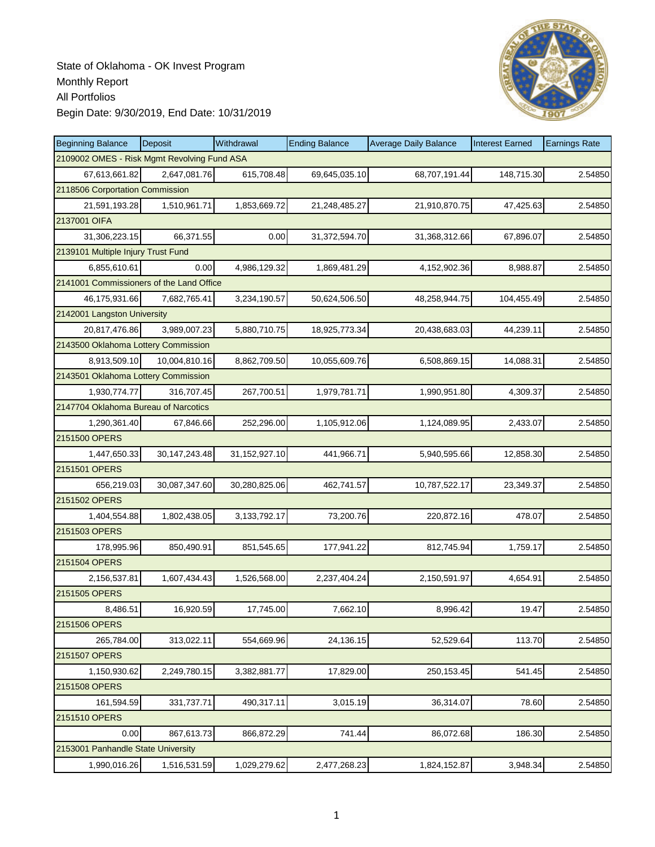

| <b>Beginning Balance</b>                    | Deposit          | Withdrawal    | <b>Ending Balance</b> | <b>Average Daily Balance</b> | <b>Interest Earned</b> | <b>Earnings Rate</b> |
|---------------------------------------------|------------------|---------------|-----------------------|------------------------------|------------------------|----------------------|
| 2109002 OMES - Risk Mgmt Revolving Fund ASA |                  |               |                       |                              |                        |                      |
| 67,613,661.82                               | 2,647,081.76     | 615,708.48    | 69,645,035.10         | 68,707,191.44                | 148,715.30             | 2.54850              |
| 2118506 Corportation Commission             |                  |               |                       |                              |                        |                      |
| 21,591,193.28                               | 1,510,961.71     | 1,853,669.72  | 21,248,485.27         | 21,910,870.75                | 47,425.63              | 2.54850              |
| 2137001 OIFA                                |                  |               |                       |                              |                        |                      |
| 31,306,223.15                               | 66,371.55        | 0.00          | 31,372,594.70         | 31,368,312.66                | 67,896.07              | 2.54850              |
| 2139101 Multiple Injury Trust Fund          |                  |               |                       |                              |                        |                      |
| 6,855,610.61                                | 0.00             | 4,986,129.32  | 1,869,481.29          | 4,152,902.36                 | 8,988.87               | 2.54850              |
| 2141001 Commissioners of the Land Office    |                  |               |                       |                              |                        |                      |
| 46,175,931.66                               | 7,682,765.41     | 3,234,190.57  | 50,624,506.50         | 48,258,944.75                | 104,455.49             | 2.54850              |
| 2142001 Langston University                 |                  |               |                       |                              |                        |                      |
| 20,817,476.86                               | 3,989,007.23     | 5,880,710.75  | 18,925,773.34         | 20,438,683.03                | 44,239.11              | 2.54850              |
| 2143500 Oklahoma Lottery Commission         |                  |               |                       |                              |                        |                      |
| 8,913,509.10                                | 10,004,810.16    | 8,862,709.50  | 10,055,609.76         | 6,508,869.15                 | 14,088.31              | 2.54850              |
| 2143501 Oklahoma Lottery Commission         |                  |               |                       |                              |                        |                      |
| 1,930,774.77                                | 316,707.45       | 267,700.51    | 1,979,781.71          | 1,990,951.80                 | 4,309.37               | 2.54850              |
| 2147704 Oklahoma Bureau of Narcotics        |                  |               |                       |                              |                        |                      |
| 1,290,361.40                                | 67,846.66        | 252,296.00    | 1,105,912.06          | 1,124,089.95                 | 2,433.07               | 2.54850              |
| 2151500 OPERS                               |                  |               |                       |                              |                        |                      |
| 1,447,650.33                                | 30, 147, 243. 48 | 31,152,927.10 | 441,966.71            | 5,940,595.66                 | 12,858.30              | 2.54850              |
| 2151501 OPERS                               |                  |               |                       |                              |                        |                      |
| 656,219.03                                  | 30,087,347.60    | 30,280,825.06 | 462,741.57            | 10,787,522.17                | 23,349.37              | 2.54850              |
| 2151502 OPERS                               |                  |               |                       |                              |                        |                      |
| 1,404,554.88                                | 1,802,438.05     | 3,133,792.17  | 73,200.76             | 220,872.16                   | 478.07                 | 2.54850              |
| 2151503 OPERS                               |                  |               |                       |                              |                        |                      |
| 178,995.96                                  | 850,490.91       | 851,545.65    | 177,941.22            | 812,745.94                   | 1,759.17               | 2.54850              |
| 2151504 OPERS                               |                  |               |                       |                              |                        |                      |
| 2,156,537.81                                | 1,607,434.43     | 1,526,568.00  | 2,237,404.24          | 2,150,591.97                 | 4,654.91               | 2.54850              |
| 2151505 OPERS                               |                  |               |                       |                              |                        |                      |
| 8,486.51                                    | 16,920.59        | 17,745.00     | 7,662.10              | 8,996.42                     | 19.47                  | 2.54850              |
| 2151506 OPERS                               |                  |               |                       |                              |                        |                      |
| 265,784.00                                  | 313,022.11       | 554,669.96    | 24,136.15             | 52,529.64                    | 113.70                 | 2.54850              |
| 2151507 OPERS                               |                  |               |                       |                              |                        |                      |
| 1,150,930.62                                | 2,249,780.15     | 3,382,881.77  | 17,829.00             | 250,153.45                   | 541.45                 | 2.54850              |
| 2151508 OPERS                               |                  |               |                       |                              |                        |                      |
| 161,594.59                                  | 331,737.71       | 490,317.11    | 3,015.19              | 36,314.07                    | 78.60                  | 2.54850              |
| 2151510 OPERS                               |                  |               |                       |                              |                        |                      |
| 0.00                                        | 867,613.73       | 866,872.29    | 741.44                | 86,072.68                    | 186.30                 | 2.54850              |
| 2153001 Panhandle State University          |                  |               |                       |                              |                        |                      |
| 1,990,016.26                                | 1,516,531.59     | 1,029,279.62  | 2,477,268.23          | 1,824,152.87                 | 3,948.34               | 2.54850              |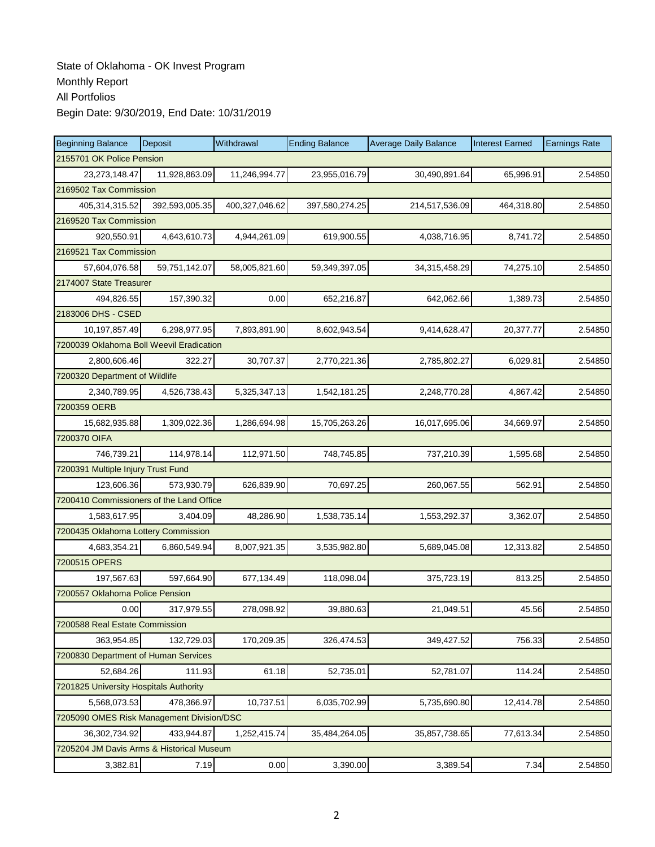| <b>Beginning Balance</b>                  | Deposit        | Withdrawal     | <b>Ending Balance</b> | <b>Average Daily Balance</b> | <b>Interest Earned</b> | <b>Earnings Rate</b> |  |  |
|-------------------------------------------|----------------|----------------|-----------------------|------------------------------|------------------------|----------------------|--|--|
| 2155701 OK Police Pension                 |                |                |                       |                              |                        |                      |  |  |
| 23, 273, 148. 47                          | 11,928,863.09  | 11,246,994.77  | 23,955,016.79         | 30,490,891.64                | 65,996.91              | 2.54850              |  |  |
| 2169502 Tax Commission                    |                |                |                       |                              |                        |                      |  |  |
| 405,314,315.52                            | 392,593,005.35 | 400,327,046.62 | 397,580,274.25        | 214,517,536.09               | 464,318.80             | 2.54850              |  |  |
| 2169520 Tax Commission                    |                |                |                       |                              |                        |                      |  |  |
| 920,550.91                                | 4,643,610.73   | 4,944,261.09   | 619,900.55            | 4,038,716.95                 | 8,741.72               | 2.54850              |  |  |
| 2169521 Tax Commission                    |                |                |                       |                              |                        |                      |  |  |
| 57,604,076.58                             | 59,751,142.07  | 58,005,821.60  | 59,349,397.05         | 34,315,458.29                | 74,275.10              | 2.54850              |  |  |
| 2174007 State Treasurer                   |                |                |                       |                              |                        |                      |  |  |
| 494,826.55                                | 157,390.32     | 0.00           | 652,216.87            | 642,062.66                   | 1,389.73               | 2.54850              |  |  |
| 2183006 DHS - CSED                        |                |                |                       |                              |                        |                      |  |  |
| 10,197,857.49                             | 6,298,977.95   | 7,893,891.90   | 8,602,943.54          | 9,414,628.47                 | 20,377.77              | 2.54850              |  |  |
| 7200039 Oklahoma Boll Weevil Eradication  |                |                |                       |                              |                        |                      |  |  |
| 2,800,606.46                              | 322.27         | 30,707.37      | 2,770,221.36          | 2,785,802.27                 | 6,029.81               | 2.54850              |  |  |
| 7200320 Department of Wildlife            |                |                |                       |                              |                        |                      |  |  |
| 2,340,789.95                              | 4,526,738.43   | 5,325,347.13   | 1,542,181.25          | 2,248,770.28                 | 4,867.42               | 2.54850              |  |  |
| 7200359 OERB                              |                |                |                       |                              |                        |                      |  |  |
| 15,682,935.88                             | 1,309,022.36   | 1,286,694.98   | 15,705,263.26         | 16,017,695.06                | 34,669.97              | 2.54850              |  |  |
| 7200370 OIFA                              |                |                |                       |                              |                        |                      |  |  |
| 746,739.21                                | 114,978.14     | 112,971.50     | 748,745.85            | 737,210.39                   | 1,595.68               | 2.54850              |  |  |
| 7200391 Multiple Injury Trust Fund        |                |                |                       |                              |                        |                      |  |  |
| 123,606.36                                | 573,930.79     | 626,839.90     | 70,697.25             | 260,067.55                   | 562.91                 | 2.54850              |  |  |
| 7200410 Commissioners of the Land Office  |                |                |                       |                              |                        |                      |  |  |
| 1,583,617.95                              | 3,404.09       | 48,286.90      | 1,538,735.14          | 1,553,292.37                 | 3,362.07               | 2.54850              |  |  |
| 7200435 Oklahoma Lottery Commission       |                |                |                       |                              |                        |                      |  |  |
| 4,683,354.21                              | 6,860,549.94   | 8,007,921.35   | 3,535,982.80          | 5,689,045.08                 | 12,313.82              | 2.54850              |  |  |
| 7200515 OPERS                             |                |                |                       |                              |                        |                      |  |  |
| 197,567.63                                | 597,664.90     | 677,134.49     | 118,098.04            | 375,723.19                   | 813.25                 | 2.54850              |  |  |
| 7200557 Oklahoma Police Pension           |                |                |                       |                              |                        |                      |  |  |
| 0.00                                      | 317,979.55     | 278,098.92     | 39,880.63             | 21,049.51                    | 45.56                  | 2.54850              |  |  |
| 7200588 Real Estate Commission            |                |                |                       |                              |                        |                      |  |  |
| 363,954.85                                | 132,729.03     | 170,209.35     | 326,474.53            | 349,427.52                   | 756.33                 | 2.54850              |  |  |
| 7200830 Department of Human Services      |                |                |                       |                              |                        |                      |  |  |
| 52,684.26                                 | 111.93         | 61.18          | 52,735.01             | 52,781.07                    | 114.24                 | 2.54850              |  |  |
| 7201825 University Hospitals Authority    |                |                |                       |                              |                        |                      |  |  |
| 5,568,073.53                              | 478,366.97     | 10,737.51      | 6,035,702.99          | 5,735,690.80                 | 12,414.78              | 2.54850              |  |  |
| 7205090 OMES Risk Management Division/DSC |                |                |                       |                              |                        |                      |  |  |
| 36, 302, 734. 92                          | 433,944.87     | 1,252,415.74   | 35,484,264.05         | 35,857,738.65                | 77,613.34              | 2.54850              |  |  |
| 7205204 JM Davis Arms & Historical Museum |                |                |                       |                              |                        |                      |  |  |
| 3,382.81                                  | 7.19           | 0.00           | 3,390.00              | 3,389.54                     | 7.34                   | 2.54850              |  |  |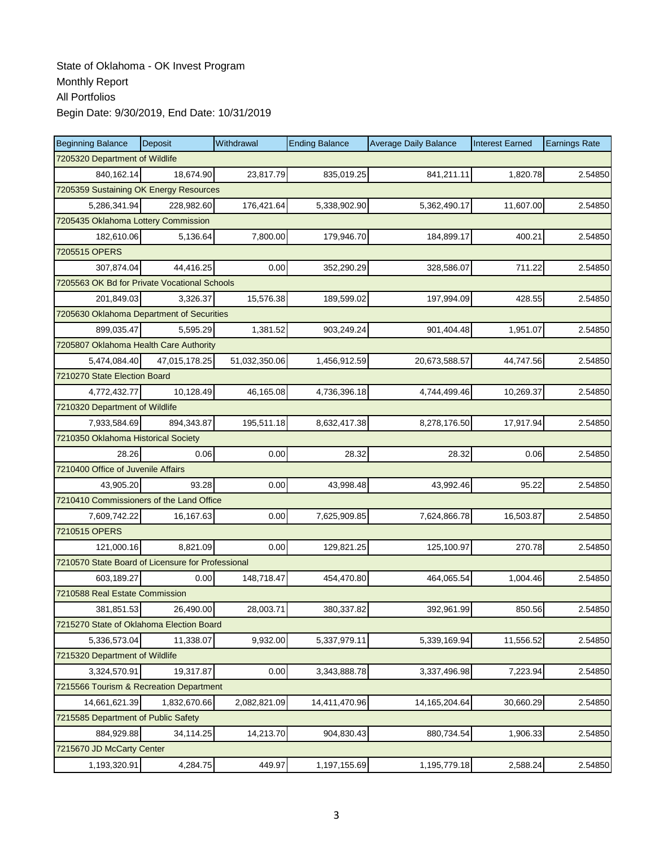| <b>Beginning Balance</b>                          | Deposit                             | Withdrawal    | <b>Ending Balance</b> | <b>Average Daily Balance</b> | <b>Interest Earned</b> | <b>Earnings Rate</b> |  |  |  |  |
|---------------------------------------------------|-------------------------------------|---------------|-----------------------|------------------------------|------------------------|----------------------|--|--|--|--|
|                                                   | 7205320 Department of Wildlife      |               |                       |                              |                        |                      |  |  |  |  |
| 840,162.14                                        | 18,674.90                           | 23,817.79     | 835,019.25            | 841,211.11                   | 1,820.78               | 2.54850              |  |  |  |  |
| 7205359 Sustaining OK Energy Resources            |                                     |               |                       |                              |                        |                      |  |  |  |  |
| 5,286,341.94                                      | 228,982.60                          | 176,421.64    | 5,338,902.90          | 5,362,490.17                 | 11,607.00              | 2.54850              |  |  |  |  |
|                                                   | 7205435 Oklahoma Lottery Commission |               |                       |                              |                        |                      |  |  |  |  |
| 182,610.06                                        | 5,136.64                            | 7,800.00      | 179,946.70            | 184,899.17                   | 400.21                 | 2.54850              |  |  |  |  |
| 7205515 OPERS                                     |                                     |               |                       |                              |                        |                      |  |  |  |  |
| 307,874.04                                        | 44,416.25                           | 0.00          | 352,290.29            | 328,586.07                   | 711.22                 | 2.54850              |  |  |  |  |
| 7205563 OK Bd for Private Vocational Schools      |                                     |               |                       |                              |                        |                      |  |  |  |  |
| 201,849.03                                        | 3,326.37                            | 15,576.38     | 189,599.02            | 197,994.09                   | 428.55                 | 2.54850              |  |  |  |  |
| 7205630 Oklahoma Department of Securities         |                                     |               |                       |                              |                        |                      |  |  |  |  |
| 899,035.47                                        | 5,595.29                            | 1,381.52      | 903,249.24            | 901,404.48                   | 1,951.07               | 2.54850              |  |  |  |  |
| 7205807 Oklahoma Health Care Authority            |                                     |               |                       |                              |                        |                      |  |  |  |  |
| 5,474,084.40                                      | 47,015,178.25                       | 51,032,350.06 | 1,456,912.59          | 20,673,588.57                | 44,747.56              | 2.54850              |  |  |  |  |
| 7210270 State Election Board                      |                                     |               |                       |                              |                        |                      |  |  |  |  |
| 4,772,432.77                                      | 10,128.49                           | 46,165.08     | 4,736,396.18          | 4,744,499.46                 | 10,269.37              | 2.54850              |  |  |  |  |
| 7210320 Department of Wildlife                    |                                     |               |                       |                              |                        |                      |  |  |  |  |
| 7.933.584.69                                      | 894,343.87                          | 195,511.18    | 8,632,417.38          | 8,278,176.50                 | 17,917.94              | 2.54850              |  |  |  |  |
| 7210350 Oklahoma Historical Society               |                                     |               |                       |                              |                        |                      |  |  |  |  |
| 28.26                                             | 0.06                                | 0.00          | 28.32                 | 28.32                        | 0.06                   | 2.54850              |  |  |  |  |
| 7210400 Office of Juvenile Affairs                |                                     |               |                       |                              |                        |                      |  |  |  |  |
| 43,905.20                                         | 93.28                               | 0.00          | 43,998.48             | 43,992.46                    | 95.22                  | 2.54850              |  |  |  |  |
| 7210410 Commissioners of the Land Office          |                                     |               |                       |                              |                        |                      |  |  |  |  |
| 7,609,742.22                                      | 16,167.63                           | 0.00          | 7,625,909.85          | 7,624,866.78                 | 16,503.87              | 2.54850              |  |  |  |  |
| 7210515 OPERS                                     |                                     |               |                       |                              |                        |                      |  |  |  |  |
| 121,000.16                                        | 8,821.09                            | 0.00          | 129,821.25            | 125,100.97                   | 270.78                 | 2.54850              |  |  |  |  |
| 7210570 State Board of Licensure for Professional |                                     |               |                       |                              |                        |                      |  |  |  |  |
| 603,189.27                                        | 0.00                                | 148,718.47    | 454,470.80            | 464,065.54                   | 1,004.46               | 2.54850              |  |  |  |  |
| 7210588 Real Estate Commission                    |                                     |               |                       |                              |                        |                      |  |  |  |  |
| 381,851.53                                        | 26,490.00                           | 28,003.71     | 380,337.82            | 392,961.99                   | 850.56                 | 2.54850              |  |  |  |  |
| 7215270 State of Oklahoma Election Board          |                                     |               |                       |                              |                        |                      |  |  |  |  |
| 5,336,573.04                                      | 11,338.07                           | 9,932.00      | 5,337,979.11          | 5,339,169.94                 | 11,556.52              | 2.54850              |  |  |  |  |
| 7215320 Department of Wildlife                    |                                     |               |                       |                              |                        |                      |  |  |  |  |
| 3,324,570.91                                      | 19,317.87                           | 0.00          | 3,343,888.78          | 3,337,496.98                 | 7,223.94               | 2.54850              |  |  |  |  |
| 7215566 Tourism & Recreation Department           |                                     |               |                       |                              |                        |                      |  |  |  |  |
| 14,661,621.39                                     | 1,832,670.66                        | 2,082,821.09  | 14,411,470.96         | 14, 165, 204. 64             | 30,660.29              | 2.54850              |  |  |  |  |
| 7215585 Department of Public Safety               |                                     |               |                       |                              |                        |                      |  |  |  |  |
| 884,929.88                                        | 34,114.25                           | 14,213.70     | 904,830.43            | 880,734.54                   | 1,906.33               | 2.54850              |  |  |  |  |
| 7215670 JD McCarty Center                         |                                     |               |                       |                              |                        |                      |  |  |  |  |
| 1,193,320.91                                      | 4,284.75                            | 449.97        | 1,197,155.69          | 1,195,779.18                 | 2,588.24               | 2.54850              |  |  |  |  |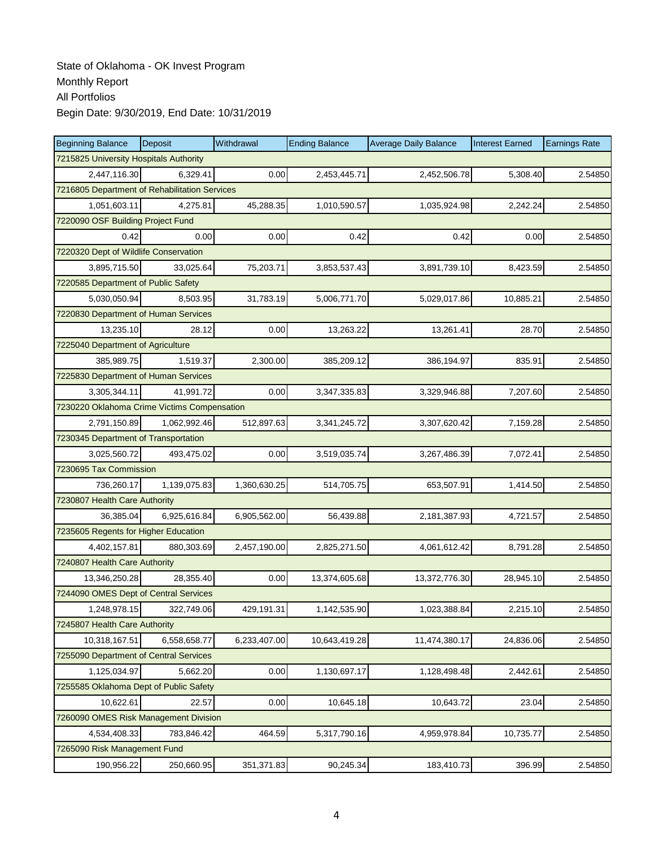| <b>Beginning Balance</b>                      | Deposit      | Withdrawal   | <b>Ending Balance</b> | <b>Average Daily Balance</b> | <b>Interest Earned</b> | <b>Earnings Rate</b> |  |  |
|-----------------------------------------------|--------------|--------------|-----------------------|------------------------------|------------------------|----------------------|--|--|
| 7215825 University Hospitals Authority        |              |              |                       |                              |                        |                      |  |  |
| 2,447,116.30                                  | 6,329.41     | 0.00         | 2,453,445.71          | 2,452,506.78                 | 5,308.40               | 2.54850              |  |  |
| 7216805 Department of Rehabilitation Services |              |              |                       |                              |                        |                      |  |  |
| 1,051,603.11                                  | 4,275.81     | 45,288.35    | 1,010,590.57          | 1,035,924.98                 | 2,242.24               | 2.54850              |  |  |
| 7220090 OSF Building Project Fund             |              |              |                       |                              |                        |                      |  |  |
| 0.42                                          | 0.00         | 0.00         | 0.42                  | 0.42                         | 0.00                   | 2.54850              |  |  |
| 7220320 Dept of Wildlife Conservation         |              |              |                       |                              |                        |                      |  |  |
| 3,895,715.50                                  | 33,025.64    | 75,203.71    | 3,853,537.43          | 3,891,739.10                 | 8,423.59               | 2.54850              |  |  |
| 7220585 Department of Public Safety           |              |              |                       |                              |                        |                      |  |  |
| 5,030,050.94                                  | 8,503.95     | 31,783.19    | 5,006,771.70          | 5,029,017.86                 | 10,885.21              | 2.54850              |  |  |
| 7220830 Department of Human Services          |              |              |                       |                              |                        |                      |  |  |
| 13,235.10                                     | 28.12        | 0.00         | 13,263.22             | 13,261.41                    | 28.70                  | 2.54850              |  |  |
| 7225040 Department of Agriculture             |              |              |                       |                              |                        |                      |  |  |
| 385,989.75                                    | 1,519.37     | 2,300.00     | 385,209.12            | 386,194.97                   | 835.91                 | 2.54850              |  |  |
| 7225830 Department of Human Services          |              |              |                       |                              |                        |                      |  |  |
| 3,305,344.11                                  | 41,991.72    | 0.00         | 3,347,335.83          | 3,329,946.88                 | 7,207.60               | 2.54850              |  |  |
| 7230220 Oklahoma Crime Victims Compensation   |              |              |                       |                              |                        |                      |  |  |
| 2,791,150.89                                  | 1,062,992.46 | 512,897.63   | 3,341,245.72          | 3,307,620.42                 | 7,159.28               | 2.54850              |  |  |
| 7230345 Department of Transportation          |              |              |                       |                              |                        |                      |  |  |
| 3,025,560.72                                  | 493,475.02   | 0.00         | 3,519,035.74          | 3,267,486.39                 | 7,072.41               | 2.54850              |  |  |
| 7230695 Tax Commission                        |              |              |                       |                              |                        |                      |  |  |
| 736,260.17                                    | 1,139,075.83 | 1,360,630.25 | 514,705.75            | 653,507.91                   | 1,414.50               | 2.54850              |  |  |
| 7230807 Health Care Authority                 |              |              |                       |                              |                        |                      |  |  |
| 36,385.04                                     | 6,925,616.84 | 6,905,562.00 | 56,439.88             | 2,181,387.93                 | 4,721.57               | 2.54850              |  |  |
| 7235605 Regents for Higher Education          |              |              |                       |                              |                        |                      |  |  |
| 4,402,157.81                                  | 880,303.69   | 2,457,190.00 | 2,825,271.50          | 4,061,612.42                 | 8,791.28               | 2.54850              |  |  |
| 7240807 Health Care Authority                 |              |              |                       |                              |                        |                      |  |  |
| 13,346,250.28                                 | 28,355.40    | 0.00         | 13,374,605.68         | 13,372,776.30                | 28,945.10              | 2.54850              |  |  |
| 7244090 OMES Dept of Central Services         |              |              |                       |                              |                        |                      |  |  |
| 1,248,978.15                                  | 322,749.06   | 429,191.31   | 1,142,535.90          | 1,023,388.84                 | 2,215.10               | 2.54850              |  |  |
| 7245807 Health Care Authority                 |              |              |                       |                              |                        |                      |  |  |
| 10,318,167.51                                 | 6,558,658.77 | 6,233,407.00 | 10,643,419.28         | 11,474,380.17                | 24,836.06              | 2.54850              |  |  |
| 7255090 Department of Central Services        |              |              |                       |                              |                        |                      |  |  |
| 1,125,034.97                                  | 5,662.20     | 0.00         | 1,130,697.17          | 1,128,498.48                 | 2,442.61               | 2.54850              |  |  |
| 7255585 Oklahoma Dept of Public Safety        |              |              |                       |                              |                        |                      |  |  |
| 10,622.61                                     | 22.57        | 0.00         | 10,645.18             | 10,643.72                    | 23.04                  | 2.54850              |  |  |
| 7260090 OMES Risk Management Division         |              |              |                       |                              |                        |                      |  |  |
| 4,534,408.33                                  | 783,846.42   | 464.59       | 5,317,790.16          | 4,959,978.84                 | 10,735.77              | 2.54850              |  |  |
| 7265090 Risk Management Fund                  |              |              |                       |                              |                        |                      |  |  |
| 190,956.22                                    | 250,660.95   | 351,371.83   | 90,245.34             | 183,410.73                   | 396.99                 | 2.54850              |  |  |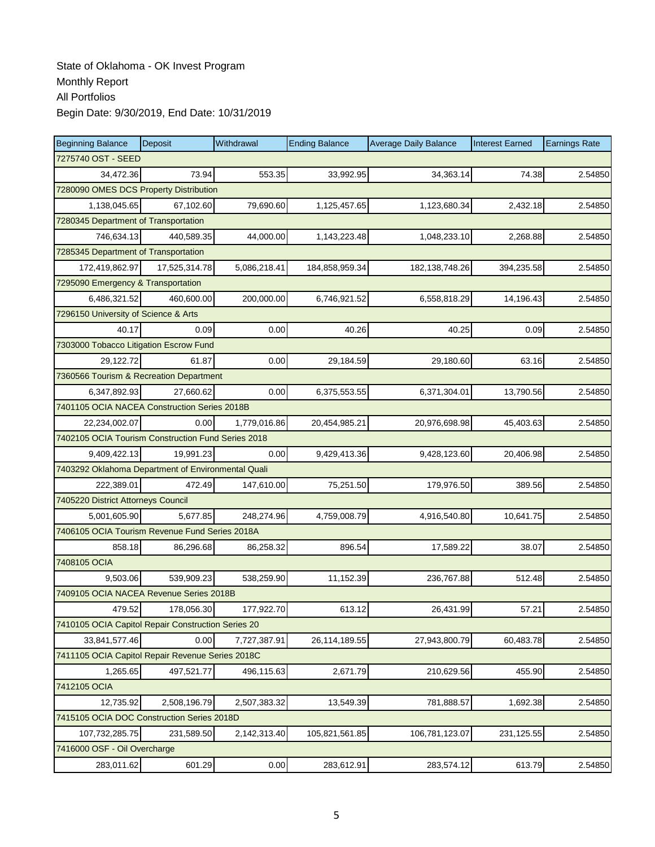| <b>Beginning Balance</b>                           | Deposit       | Withdrawal   | <b>Ending Balance</b> | <b>Average Daily Balance</b> | <b>Interest Earned</b> | <b>Earnings Rate</b> |  |  |
|----------------------------------------------------|---------------|--------------|-----------------------|------------------------------|------------------------|----------------------|--|--|
| 7275740 OST - SEED                                 |               |              |                       |                              |                        |                      |  |  |
| 34,472.36                                          | 73.94         | 553.35       | 33,992.95             | 34,363.14                    | 74.38                  | 2.54850              |  |  |
| 7280090 OMES DCS Property Distribution             |               |              |                       |                              |                        |                      |  |  |
| 1,138,045.65                                       | 67,102.60     | 79,690.60    | 1,125,457.65          | 1,123,680.34                 | 2,432.18               | 2.54850              |  |  |
| 7280345 Department of Transportation               |               |              |                       |                              |                        |                      |  |  |
| 746,634.13                                         | 440,589.35    | 44,000.00    | 1,143,223.48          | 1,048,233.10                 | 2,268.88               | 2.54850              |  |  |
| 7285345 Department of Transportation               |               |              |                       |                              |                        |                      |  |  |
| 172,419,862.97                                     | 17,525,314.78 | 5,086,218.41 | 184,858,959.34        | 182, 138, 748. 26            | 394,235.58             | 2.54850              |  |  |
| 7295090 Emergency & Transportation                 |               |              |                       |                              |                        |                      |  |  |
| 6,486,321.52                                       | 460,600.00    | 200,000.00   | 6,746,921.52          | 6,558,818.29                 | 14,196.43              | 2.54850              |  |  |
| 7296150 University of Science & Arts               |               |              |                       |                              |                        |                      |  |  |
| 40.17                                              | 0.09          | 0.00         | 40.26                 | 40.25                        | 0.09                   | 2.54850              |  |  |
| 7303000 Tobacco Litigation Escrow Fund             |               |              |                       |                              |                        |                      |  |  |
| 29,122.72                                          | 61.87         | 0.00         | 29,184.59             | 29,180.60                    | 63.16                  | 2.54850              |  |  |
| 7360566 Tourism & Recreation Department            |               |              |                       |                              |                        |                      |  |  |
| 6,347,892.93                                       | 27,660.62     | 0.00         | 6,375,553.55          | 6,371,304.01                 | 13,790.56              | 2.54850              |  |  |
| 7401105 OCIA NACEA Construction Series 2018B       |               |              |                       |                              |                        |                      |  |  |
| 22,234,002.07                                      | 0.00          | 1,779,016.86 | 20,454,985.21         | 20,976,698.98                | 45,403.63              | 2.54850              |  |  |
| 7402105 OCIA Tourism Construction Fund Series 2018 |               |              |                       |                              |                        |                      |  |  |
| 9,409,422.13                                       | 19,991.23     | 0.00         | 9,429,413.36          | 9,428,123.60                 | 20,406.98              | 2.54850              |  |  |
| 7403292 Oklahoma Department of Environmental Quali |               |              |                       |                              |                        |                      |  |  |
| 222,389.01                                         | 472.49        | 147,610.00   | 75,251.50             | 179,976.50                   | 389.56                 | 2.54850              |  |  |
| 7405220 District Attorneys Council                 |               |              |                       |                              |                        |                      |  |  |
| 5,001,605.90                                       | 5,677.85      | 248,274.96   | 4,759,008.79          | 4,916,540.80                 | 10,641.75              | 2.54850              |  |  |
| 7406105 OCIA Tourism Revenue Fund Series 2018A     |               |              |                       |                              |                        |                      |  |  |
| 858.18                                             | 86,296.68     | 86,258.32    | 896.54                | 17,589.22                    | 38.07                  | 2.54850              |  |  |
| 7408105 OCIA                                       |               |              |                       |                              |                        |                      |  |  |
| 9,503.06                                           | 539,909.23    | 538,259.90   | 11,152.39             | 236,767.88                   | 512.48                 | 2.54850              |  |  |
| 7409105 OCIA NACEA Revenue Series 2018B            |               |              |                       |                              |                        |                      |  |  |
| 479.52                                             | 178,056.30    | 177,922.70   | 613.12                | 26,431.99                    | 57.21                  | 2.54850              |  |  |
| 7410105 OCIA Capitol Repair Construction Series 20 |               |              |                       |                              |                        |                      |  |  |
| 33,841,577.46                                      | 0.00          | 7,727,387.91 | 26,114,189.55         | 27,943,800.79                | 60,483.78              | 2.54850              |  |  |
| 7411105 OCIA Capitol Repair Revenue Series 2018C   |               |              |                       |                              |                        |                      |  |  |
| 1,265.65                                           | 497,521.77    | 496,115.63   | 2,671.79              | 210,629.56                   | 455.90                 | 2.54850              |  |  |
| 7412105 OCIA                                       |               |              |                       |                              |                        |                      |  |  |
| 12,735.92                                          | 2,508,196.79  | 2,507,383.32 | 13,549.39             | 781,888.57                   | 1,692.38               | 2.54850              |  |  |
| 7415105 OCIA DOC Construction Series 2018D         |               |              |                       |                              |                        |                      |  |  |
| 107,732,285.75                                     | 231,589.50    | 2,142,313.40 | 105,821,561.85        | 106,781,123.07               | 231,125.55             | 2.54850              |  |  |
| 7416000 OSF - Oil Overcharge                       |               |              |                       |                              |                        |                      |  |  |
| 283,011.62                                         | 601.29        | 0.00         | 283,612.91            | 283,574.12                   | 613.79                 | 2.54850              |  |  |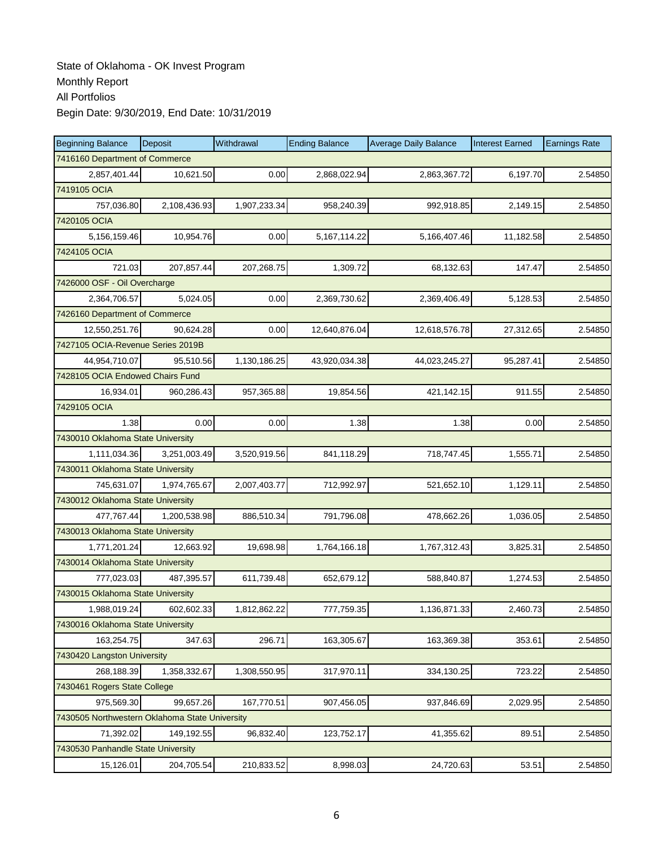| <b>Beginning Balance</b>                       | Deposit      | Withdrawal   | <b>Ending Balance</b> | <b>Average Daily Balance</b> | <b>Interest Earned</b> | <b>Earnings Rate</b> |
|------------------------------------------------|--------------|--------------|-----------------------|------------------------------|------------------------|----------------------|
| 7416160 Department of Commerce                 |              |              |                       |                              |                        |                      |
| 2,857,401.44                                   | 10,621.50    | 0.00         | 2,868,022.94          | 2,863,367.72                 | 6,197.70               | 2.54850              |
| 7419105 OCIA                                   |              |              |                       |                              |                        |                      |
| 757,036.80                                     | 2,108,436.93 | 1,907,233.34 | 958,240.39            | 992,918.85                   | 2,149.15               | 2.54850              |
| 7420105 OCIA                                   |              |              |                       |                              |                        |                      |
| 5,156,159.46                                   | 10,954.76    | 0.00         | 5,167,114.22          | 5,166,407.46                 | 11,182.58              | 2.54850              |
| 7424105 OCIA                                   |              |              |                       |                              |                        |                      |
| 721.03                                         | 207,857.44   | 207,268.75   | 1,309.72              | 68,132.63                    | 147.47                 | 2.54850              |
| 7426000 OSF - Oil Overcharge                   |              |              |                       |                              |                        |                      |
| 2,364,706.57                                   | 5,024.05     | 0.00         | 2,369,730.62          | 2,369,406.49                 | 5,128.53               | 2.54850              |
| 7426160 Department of Commerce                 |              |              |                       |                              |                        |                      |
| 12,550,251.76                                  | 90,624.28    | 0.00         | 12,640,876.04         | 12,618,576.78                | 27,312.65              | 2.54850              |
| 7427105 OCIA-Revenue Series 2019B              |              |              |                       |                              |                        |                      |
| 44.954.710.07                                  | 95,510.56    | 1,130,186.25 | 43,920,034.38         | 44,023,245.27                | 95,287.41              | 2.54850              |
| 7428105 OCIA Endowed Chairs Fund               |              |              |                       |                              |                        |                      |
| 16,934.01                                      | 960,286.43   | 957,365.88   | 19,854.56             | 421,142.15                   | 911.55                 | 2.54850              |
| 7429105 OCIA                                   |              |              |                       |                              |                        |                      |
| 1.38                                           | 0.00         | 0.00         | 1.38                  | 1.38                         | 0.00                   | 2.54850              |
| 7430010 Oklahoma State University              |              |              |                       |                              |                        |                      |
| 1,111,034.36                                   | 3,251,003.49 | 3,520,919.56 | 841,118.29            | 718,747.45                   | 1,555.71               | 2.54850              |
| 7430011 Oklahoma State University              |              |              |                       |                              |                        |                      |
| 745,631.07                                     | 1,974,765.67 | 2,007,403.77 | 712,992.97            | 521,652.10                   | 1,129.11               | 2.54850              |
| 7430012 Oklahoma State University              |              |              |                       |                              |                        |                      |
| 477,767.44                                     | 1,200,538.98 | 886,510.34   | 791,796.08            | 478,662.26                   | 1,036.05               | 2.54850              |
| 7430013 Oklahoma State University              |              |              |                       |                              |                        |                      |
| 1,771,201.24                                   | 12,663.92    | 19,698.98    | 1,764,166.18          | 1,767,312.43                 | 3,825.31               | 2.54850              |
| 7430014 Oklahoma State University              |              |              |                       |                              |                        |                      |
| 777,023.03                                     | 487,395.57   | 611,739.48   | 652,679.12            | 588,840.87                   | 1,274.53               | 2.54850              |
| 7430015 Oklahoma State University              |              |              |                       |                              |                        |                      |
| 1,988,019.24                                   | 602,602.33   | 1,812,862.22 | 777,759.35            | 1,136,871.33                 | 2,460.73               | 2.54850              |
| 7430016 Oklahoma State University              |              |              |                       |                              |                        |                      |
| 163,254.75                                     | 347.63       | 296.71       | 163,305.67            | 163,369.38                   | 353.61                 | 2.54850              |
| 7430420 Langston University                    |              |              |                       |                              |                        |                      |
| 268,188.39                                     | 1,358,332.67 | 1,308,550.95 | 317,970.11            | 334,130.25                   | 723.22                 | 2.54850              |
| 7430461 Rogers State College                   |              |              |                       |                              |                        |                      |
| 975,569.30                                     | 99,657.26    | 167,770.51   | 907,456.05            | 937,846.69                   | 2,029.95               | 2.54850              |
| 7430505 Northwestern Oklahoma State University |              |              |                       |                              |                        |                      |
| 71,392.02                                      | 149,192.55   | 96,832.40    | 123,752.17            | 41,355.62                    | 89.51                  | 2.54850              |
| 7430530 Panhandle State University             |              |              |                       |                              |                        |                      |
| 15,126.01                                      | 204,705.54   | 210,833.52   | 8,998.03              | 24,720.63                    | 53.51                  | 2.54850              |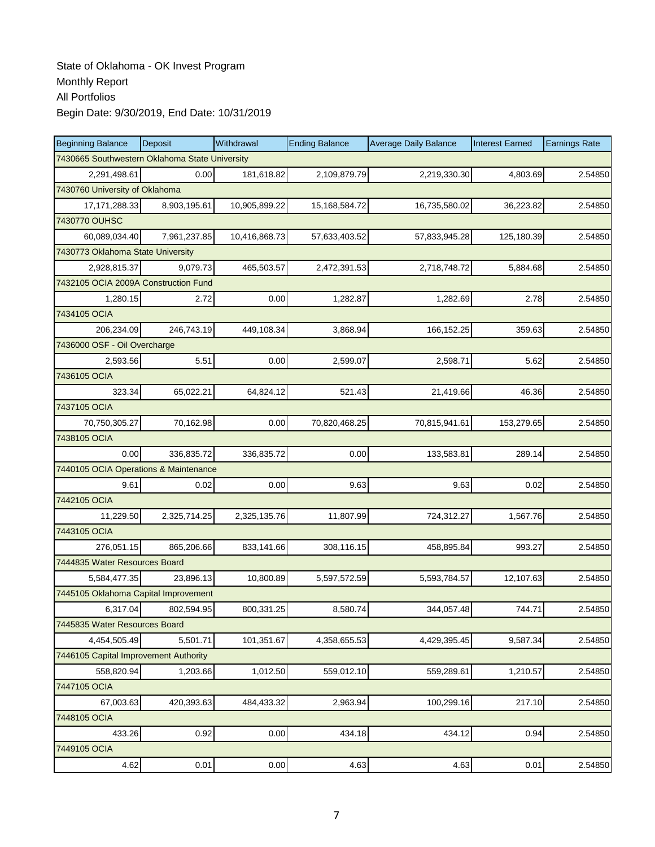| <b>Beginning Balance</b>                       | Deposit      | Withdrawal    | <b>Ending Balance</b> | <b>Average Daily Balance</b> | <b>Interest Earned</b> | <b>Earnings Rate</b> |
|------------------------------------------------|--------------|---------------|-----------------------|------------------------------|------------------------|----------------------|
| 7430665 Southwestern Oklahoma State University |              |               |                       |                              |                        |                      |
| 2,291,498.61                                   | 0.00         | 181,618.82    | 2,109,879.79          | 2,219,330.30                 | 4,803.69               | 2.54850              |
| 7430760 University of Oklahoma                 |              |               |                       |                              |                        |                      |
| 17, 171, 288. 33                               | 8,903,195.61 | 10,905,899.22 | 15,168,584.72         | 16,735,580.02                | 36,223.82              | 2.54850              |
| 7430770 OUHSC                                  |              |               |                       |                              |                        |                      |
| 60,089,034.40                                  | 7,961,237.85 | 10,416,868.73 | 57,633,403.52         | 57,833,945.28                | 125,180.39             | 2.54850              |
| 7430773 Oklahoma State University              |              |               |                       |                              |                        |                      |
| 2,928,815.37                                   | 9,079.73     | 465,503.57    | 2,472,391.53          | 2,718,748.72                 | 5,884.68               | 2.54850              |
| 7432105 OCIA 2009A Construction Fund           |              |               |                       |                              |                        |                      |
| 1,280.15                                       | 2.72         | 0.00          | 1,282.87              | 1,282.69                     | 2.78                   | 2.54850              |
| 7434105 OCIA                                   |              |               |                       |                              |                        |                      |
| 206,234.09                                     | 246,743.19   | 449,108.34    | 3,868.94              | 166,152.25                   | 359.63                 | 2.54850              |
| 7436000 OSF - Oil Overcharge                   |              |               |                       |                              |                        |                      |
| 2.593.56                                       | 5.51         | 0.00          | 2,599.07              | 2,598.71                     | 5.62                   | 2.54850              |
| 7436105 OCIA                                   |              |               |                       |                              |                        |                      |
| 323.34                                         | 65,022.21    | 64,824.12     | 521.43                | 21,419.66                    | 46.36                  | 2.54850              |
| 7437105 OCIA                                   |              |               |                       |                              |                        |                      |
| 70,750,305.27                                  | 70,162.98    | 0.00          | 70,820,468.25         | 70,815,941.61                | 153,279.65             | 2.54850              |
| 7438105 OCIA                                   |              |               |                       |                              |                        |                      |
| 0.00                                           | 336,835.72   | 336,835.72    | 0.00                  | 133,583.81                   | 289.14                 | 2.54850              |
| 7440105 OCIA Operations & Maintenance          |              |               |                       |                              |                        |                      |
| 9.61                                           | 0.02         | 0.00          | 9.63                  | 9.63                         | 0.02                   | 2.54850              |
| 7442105 OCIA                                   |              |               |                       |                              |                        |                      |
| 11,229.50                                      | 2,325,714.25 | 2,325,135.76  | 11,807.99             | 724,312.27                   | 1,567.76               | 2.54850              |
| 7443105 OCIA                                   |              |               |                       |                              |                        |                      |
| 276,051.15                                     | 865,206.66   | 833,141.66    | 308,116.15            | 458,895.84                   | 993.27                 | 2.54850              |
| 7444835 Water Resources Board                  |              |               |                       |                              |                        |                      |
| 5,584,477.35                                   | 23,896.13    | 10,800.89     | 5,597,572.59          | 5,593,784.57                 | 12,107.63              | 2.54850              |
| 7445105 Oklahoma Capital Improvement           |              |               |                       |                              |                        |                      |
| 6,317.04                                       | 802,594.95   | 800,331.25    | 8,580.74              | 344,057.48                   | 744.71                 | 2.54850              |
| 7445835 Water Resources Board                  |              |               |                       |                              |                        |                      |
| 4,454,505.49                                   | 5,501.71     | 101,351.67    | 4,358,655.53          | 4,429,395.45                 | 9,587.34               | 2.54850              |
| 7446105 Capital Improvement Authority          |              |               |                       |                              |                        |                      |
| 558,820.94                                     | 1,203.66     | 1,012.50      | 559,012.10            | 559,289.61                   | 1,210.57               | 2.54850              |
| 7447105 OCIA                                   |              |               |                       |                              |                        |                      |
| 67,003.63                                      | 420,393.63   | 484,433.32    | 2,963.94              | 100,299.16                   | 217.10                 | 2.54850              |
| 7448105 OCIA                                   |              |               |                       |                              |                        |                      |
| 433.26                                         | 0.92         | 0.00          | 434.18                | 434.12                       | 0.94                   | 2.54850              |
| 7449105 OCIA                                   |              |               |                       |                              |                        |                      |
| 4.62                                           | 0.01         | 0.00          | 4.63                  | 4.63                         | 0.01                   | 2.54850              |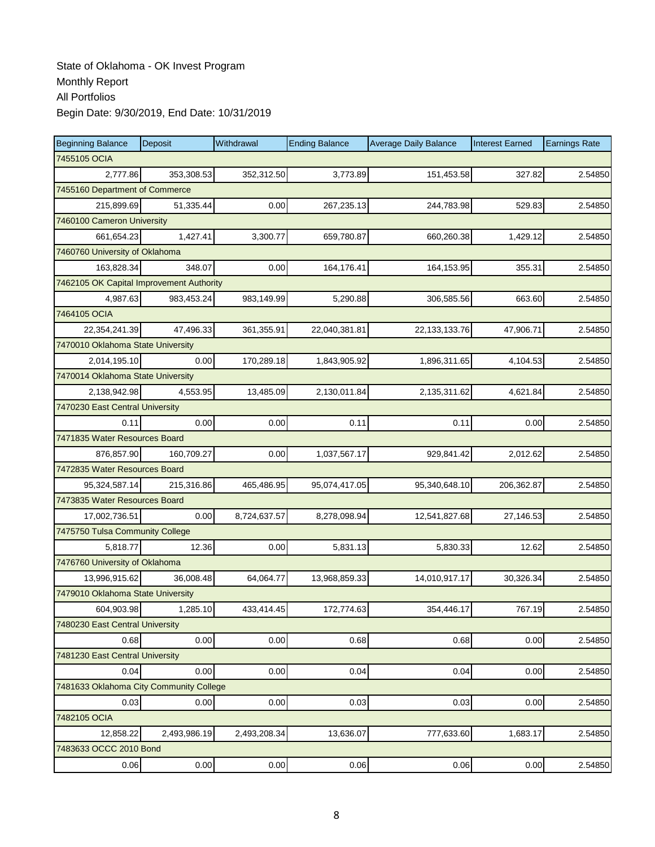| <b>Beginning Balance</b>                 | Deposit      | Withdrawal   | <b>Ending Balance</b> | <b>Average Daily Balance</b> | <b>Interest Earned</b> | <b>Earnings Rate</b> |  |  |  |
|------------------------------------------|--------------|--------------|-----------------------|------------------------------|------------------------|----------------------|--|--|--|
| 7455105 OCIA                             |              |              |                       |                              |                        |                      |  |  |  |
| 2,777.86                                 | 353,308.53   | 352,312.50   | 3,773.89              | 151,453.58                   | 327.82                 | 2.54850              |  |  |  |
| 7455160 Department of Commerce           |              |              |                       |                              |                        |                      |  |  |  |
| 215,899.69                               | 51,335.44    | 0.00         | 267,235.13            | 244,783.98                   | 529.83                 | 2.54850              |  |  |  |
| 7460100 Cameron University               |              |              |                       |                              |                        |                      |  |  |  |
| 661,654.23                               | 1,427.41     | 3,300.77     | 659,780.87            | 660,260.38                   | 1,429.12               | 2.54850              |  |  |  |
| 7460760 University of Oklahoma           |              |              |                       |                              |                        |                      |  |  |  |
| 163,828.34                               | 348.07       | 0.00         | 164.176.41            | 164,153.95                   | 355.31                 | 2.54850              |  |  |  |
| 7462105 OK Capital Improvement Authority |              |              |                       |                              |                        |                      |  |  |  |
| 4,987.63                                 | 983,453.24   | 983,149.99   | 5,290.88              | 306,585.56                   | 663.60                 | 2.54850              |  |  |  |
| 7464105 OCIA                             |              |              |                       |                              |                        |                      |  |  |  |
| 22,354,241.39                            | 47,496.33    | 361,355.91   | 22,040,381.81         | 22, 133, 133. 76             | 47,906.71              | 2.54850              |  |  |  |
| 7470010 Oklahoma State University        |              |              |                       |                              |                        |                      |  |  |  |
| 2,014,195.10                             | 0.00         | 170,289.18   | 1,843,905.92          | 1,896,311.65                 | 4,104.53               | 2.54850              |  |  |  |
| 7470014 Oklahoma State University        |              |              |                       |                              |                        |                      |  |  |  |
| 2,138,942.98                             | 4,553.95     | 13,485.09    | 2,130,011.84          | 2,135,311.62                 | 4,621.84               | 2.54850              |  |  |  |
| 7470230 East Central University          |              |              |                       |                              |                        |                      |  |  |  |
| 0.11                                     | 0.00         | 0.00         | 0.11                  | 0.11                         | 0.00                   | 2.54850              |  |  |  |
| 7471835 Water Resources Board            |              |              |                       |                              |                        |                      |  |  |  |
| 876,857.90                               | 160,709.27   | 0.00         | 1,037,567.17          | 929,841.42                   | 2,012.62               | 2.54850              |  |  |  |
| 7472835 Water Resources Board            |              |              |                       |                              |                        |                      |  |  |  |
| 95,324,587.14                            | 215,316.86   | 465,486.95   | 95,074,417.05         | 95,340,648.10                | 206,362.87             | 2.54850              |  |  |  |
| 7473835 Water Resources Board            |              |              |                       |                              |                        |                      |  |  |  |
| 17,002,736.51                            | 0.00         | 8,724,637.57 | 8,278,098.94          | 12,541,827.68                | 27,146.53              | 2.54850              |  |  |  |
| 7475750 Tulsa Community College          |              |              |                       |                              |                        |                      |  |  |  |
| 5,818.77                                 | 12.36        | 0.00         | 5,831.13              | 5,830.33                     | 12.62                  | 2.54850              |  |  |  |
| 7476760 University of Oklahoma           |              |              |                       |                              |                        |                      |  |  |  |
| 13,996,915.62                            | 36,008.48    | 64,064.77    | 13,968,859.33         | 14,010,917.17                | 30,326.34              | 2.54850              |  |  |  |
| 7479010 Oklahoma State University        |              |              |                       |                              |                        |                      |  |  |  |
| 604,903.98                               | 1,285.10     | 433,414.45   | 172,774.63            | 354,446.17                   | 767.19                 | 2.54850              |  |  |  |
| 7480230 East Central University          |              |              |                       |                              |                        |                      |  |  |  |
| 0.68                                     | 0.00         | 0.00         | 0.68                  | 0.68                         | 0.00                   | 2.54850              |  |  |  |
| 7481230 East Central University          |              |              |                       |                              |                        |                      |  |  |  |
| 0.04                                     | 0.00         | 0.00         | 0.04                  | 0.04                         | 0.00                   | 2.54850              |  |  |  |
| 7481633 Oklahoma City Community College  |              |              |                       |                              |                        |                      |  |  |  |
| 0.03                                     | 0.00         | 0.00         | 0.03                  | 0.03                         | 0.00                   | 2.54850              |  |  |  |
| 7482105 OCIA                             |              |              |                       |                              |                        |                      |  |  |  |
| 12,858.22                                | 2,493,986.19 | 2,493,208.34 | 13,636.07             | 777,633.60                   | 1,683.17               | 2.54850              |  |  |  |
| 7483633 OCCC 2010 Bond                   |              |              |                       |                              |                        |                      |  |  |  |
| 0.06                                     | 0.00         | 0.00         | 0.06                  | 0.06                         | 0.00                   | 2.54850              |  |  |  |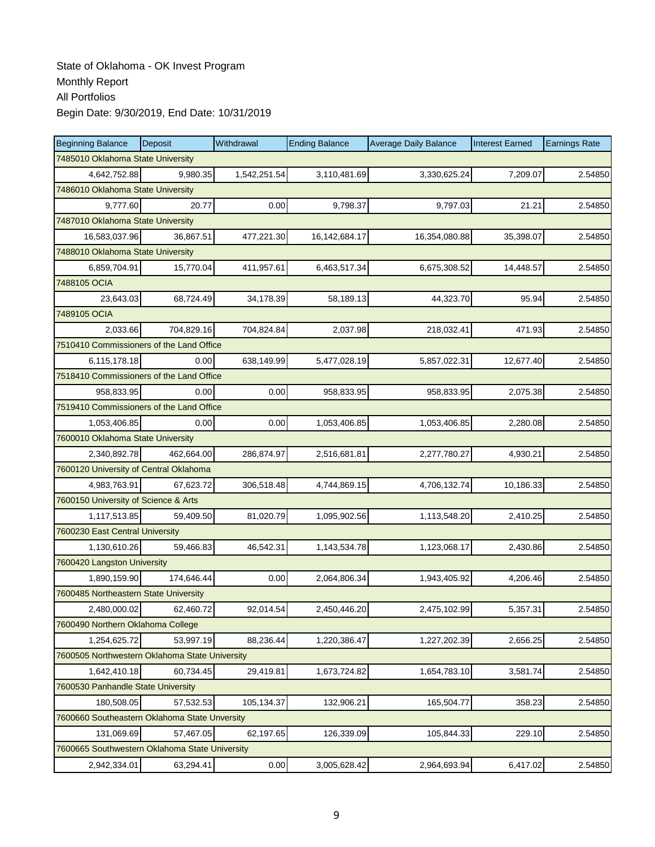| <b>Beginning Balance</b>                       | Deposit    | Withdrawal   | <b>Ending Balance</b> | <b>Average Daily Balance</b> | <b>Interest Earned</b> | <b>Earnings Rate</b> |  |  |  |
|------------------------------------------------|------------|--------------|-----------------------|------------------------------|------------------------|----------------------|--|--|--|
| 7485010 Oklahoma State University              |            |              |                       |                              |                        |                      |  |  |  |
| 4,642,752.88                                   | 9,980.35   | 1,542,251.54 | 3,110,481.69          | 3,330,625.24                 | 7,209.07               | 2.54850              |  |  |  |
| 7486010 Oklahoma State University              |            |              |                       |                              |                        |                      |  |  |  |
| 9,777.60                                       | 20.77      | 0.00         | 9,798.37              | 9,797.03                     | 21.21                  | 2.54850              |  |  |  |
| 7487010 Oklahoma State University              |            |              |                       |                              |                        |                      |  |  |  |
| 16,583,037.96                                  | 36,867.51  | 477,221.30   | 16,142,684.17         | 16,354,080.88                | 35,398.07              | 2.54850              |  |  |  |
| 7488010 Oklahoma State University              |            |              |                       |                              |                        |                      |  |  |  |
| 6,859,704.91                                   | 15,770.04  | 411,957.61   | 6,463,517.34          | 6,675,308.52                 | 14,448.57              | 2.54850              |  |  |  |
| 7488105 OCIA                                   |            |              |                       |                              |                        |                      |  |  |  |
| 23,643.03                                      | 68,724.49  | 34,178.39    | 58,189.13             | 44,323.70                    | 95.94                  | 2.54850              |  |  |  |
| 7489105 OCIA                                   |            |              |                       |                              |                        |                      |  |  |  |
| 2,033.66                                       | 704,829.16 | 704,824.84   | 2,037.98              | 218,032.41                   | 471.93                 | 2.54850              |  |  |  |
| 7510410 Commissioners of the Land Office       |            |              |                       |                              |                        |                      |  |  |  |
| 6,115,178.18                                   | 0.00       | 638,149.99   | 5,477,028.19          | 5,857,022.31                 | 12,677.40              | 2.54850              |  |  |  |
| 7518410 Commissioners of the Land Office       |            |              |                       |                              |                        |                      |  |  |  |
| 958,833.95                                     | 0.00       | 0.00         | 958,833.95            | 958,833.95                   | 2,075.38               | 2.54850              |  |  |  |
| 7519410 Commissioners of the Land Office       |            |              |                       |                              |                        |                      |  |  |  |
| 1,053,406.85                                   | 0.00       | 0.00         | 1,053,406.85          | 1,053,406.85                 | 2,280.08               | 2.54850              |  |  |  |
| 7600010 Oklahoma State University              |            |              |                       |                              |                        |                      |  |  |  |
| 2,340,892.78                                   | 462,664.00 | 286,874.97   | 2,516,681.81          | 2,277,780.27                 | 4,930.21               | 2.54850              |  |  |  |
| 7600120 University of Central Oklahoma         |            |              |                       |                              |                        |                      |  |  |  |
| 4,983,763.91                                   | 67,623.72  | 306,518.48   | 4,744,869.15          | 4,706,132.74                 | 10,186.33              | 2.54850              |  |  |  |
| 7600150 University of Science & Arts           |            |              |                       |                              |                        |                      |  |  |  |
| 1,117,513.85                                   | 59,409.50  | 81,020.79    | 1,095,902.56          | 1,113,548.20                 | 2,410.25               | 2.54850              |  |  |  |
| 7600230 East Central University                |            |              |                       |                              |                        |                      |  |  |  |
| 1,130,610.26                                   | 59,466.83  | 46,542.31    | 1,143,534.78          | 1,123,068.17                 | 2,430.86               | 2.54850              |  |  |  |
| 7600420 Langston University                    |            |              |                       |                              |                        |                      |  |  |  |
| 1,890,159.90                                   | 174,646.44 | 0.00         | 2,064,806.34          | 1,943,405.92                 | 4,206.46               | 2.54850              |  |  |  |
| 7600485 Northeastern State University          |            |              |                       |                              |                        |                      |  |  |  |
| 2,480,000.02                                   | 62,460.72  | 92,014.54    | 2.450.446.20          | 2,475,102.99                 | 5,357.31               | 2.54850              |  |  |  |
| 7600490 Northern Oklahoma College              |            |              |                       |                              |                        |                      |  |  |  |
| 1,254,625.72                                   | 53,997.19  | 88,236.44    | 1,220,386.47          | 1,227,202.39                 | 2,656.25               | 2.54850              |  |  |  |
| 7600505 Northwestern Oklahoma State University |            |              |                       |                              |                        |                      |  |  |  |
| 1,642,410.18                                   | 60,734.45  | 29,419.81    | 1,673,724.82          | 1,654,783.10                 | 3,581.74               | 2.54850              |  |  |  |
| 7600530 Panhandle State University             |            |              |                       |                              |                        |                      |  |  |  |
| 180,508.05                                     | 57,532.53  | 105,134.37   | 132,906.21            | 165,504.77                   | 358.23                 | 2.54850              |  |  |  |
| 7600660 Southeastern Oklahoma State Unversity  |            |              |                       |                              |                        |                      |  |  |  |
| 131,069.69                                     | 57,467.05  | 62,197.65    | 126,339.09            | 105,844.33                   | 229.10                 | 2.54850              |  |  |  |
| 7600665 Southwestern Oklahoma State University |            |              |                       |                              |                        |                      |  |  |  |
| 2,942,334.01                                   | 63,294.41  | 0.00         | 3,005,628.42          | 2,964,693.94                 | 6,417.02               | 2.54850              |  |  |  |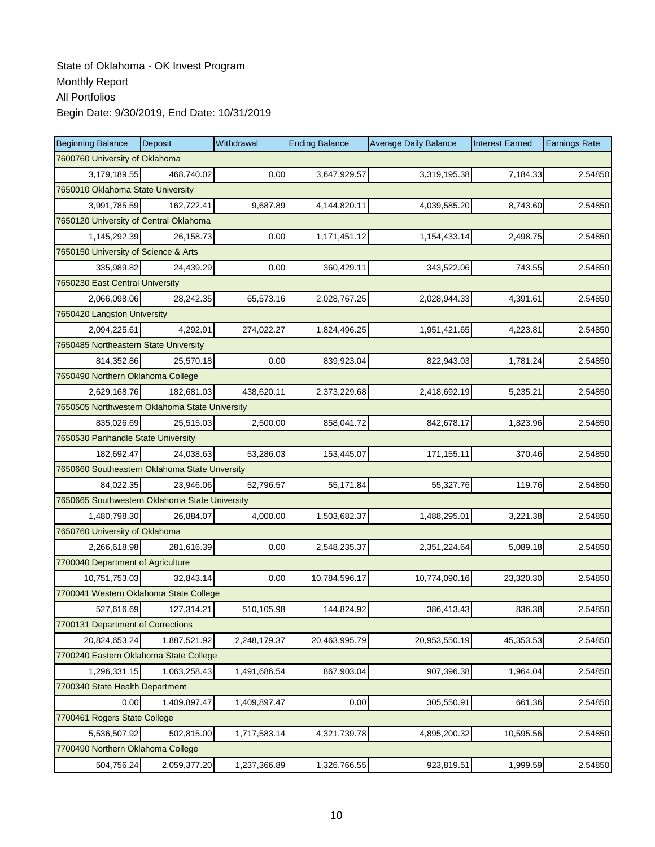| <b>Beginning Balance</b>                       | Deposit                                | Withdrawal   | <b>Ending Balance</b> | <b>Average Daily Balance</b> | <b>Interest Earned</b> | <b>Earnings Rate</b> |  |  |  |  |
|------------------------------------------------|----------------------------------------|--------------|-----------------------|------------------------------|------------------------|----------------------|--|--|--|--|
| 7600760 University of Oklahoma                 |                                        |              |                       |                              |                        |                      |  |  |  |  |
| 3,179,189.55                                   | 468,740.02                             | 0.00         | 3,647,929.57          | 3,319,195.38                 | 7,184.33               | 2.54850              |  |  |  |  |
| 7650010 Oklahoma State University              |                                        |              |                       |                              |                        |                      |  |  |  |  |
| 3,991,785.59                                   | 162,722.41                             | 9,687.89     | 4,144,820.11          | 4,039,585.20                 | 8,743.60               | 2.54850              |  |  |  |  |
|                                                | 7650120 University of Central Oklahoma |              |                       |                              |                        |                      |  |  |  |  |
| 1,145,292.39                                   | 26,158.73                              | 0.00         | 1,171,451.12          | 1,154,433.14                 | 2,498.75               | 2.54850              |  |  |  |  |
| 7650150 University of Science & Arts           |                                        |              |                       |                              |                        |                      |  |  |  |  |
| 335,989.82                                     | 24.439.29                              | 0.00         | 360,429.11            | 343,522.06                   | 743.55                 | 2.54850              |  |  |  |  |
| 7650230 East Central University                |                                        |              |                       |                              |                        |                      |  |  |  |  |
| 2,066,098.06                                   | 28,242.35                              | 65,573.16    | 2,028,767.25          | 2,028,944.33                 | 4,391.61               | 2.54850              |  |  |  |  |
| 7650420 Langston University                    |                                        |              |                       |                              |                        |                      |  |  |  |  |
| 2,094,225.61                                   | 4,292.91                               | 274,022.27   | 1,824,496.25          | 1,951,421.65                 | 4,223.81               | 2.54850              |  |  |  |  |
| 7650485 Northeastern State University          |                                        |              |                       |                              |                        |                      |  |  |  |  |
| 814,352.86                                     | 25,570.18                              | 0.00         | 839,923.04            | 822,943.03                   | 1,781.24               | 2.54850              |  |  |  |  |
| 7650490 Northern Oklahoma College              |                                        |              |                       |                              |                        |                      |  |  |  |  |
| 2,629,168.76                                   | 182,681.03                             | 438,620.11   | 2,373,229.68          | 2,418,692.19                 | 5,235.21               | 2.54850              |  |  |  |  |
| 7650505 Northwestern Oklahoma State University |                                        |              |                       |                              |                        |                      |  |  |  |  |
| 835,026.69                                     | 25,515.03                              | 2,500.00     | 858,041.72            | 842,678.17                   | 1,823.96               | 2.54850              |  |  |  |  |
| 7650530 Panhandle State University             |                                        |              |                       |                              |                        |                      |  |  |  |  |
| 182,692.47                                     | 24,038.63                              | 53,286.03    | 153,445.07            | 171,155.11                   | 370.46                 | 2.54850              |  |  |  |  |
| 7650660 Southeastern Oklahoma State Unversity  |                                        |              |                       |                              |                        |                      |  |  |  |  |
| 84,022.35                                      | 23,946.06                              | 52,796.57    | 55,171.84             | 55,327.76                    | 119.76                 | 2.54850              |  |  |  |  |
| 7650665 Southwestern Oklahoma State University |                                        |              |                       |                              |                        |                      |  |  |  |  |
| 1,480,798.30                                   | 26,884.07                              | 4,000.00     | 1,503,682.37          | 1,488,295.01                 | 3,221.38               | 2.54850              |  |  |  |  |
| 7650760 University of Oklahoma                 |                                        |              |                       |                              |                        |                      |  |  |  |  |
| 2,266,618.98                                   | 281,616.39                             | 0.00         | 2,548,235.37          | 2,351,224.64                 | 5,089.18               | 2.54850              |  |  |  |  |
| 7700040 Department of Agriculture              |                                        |              |                       |                              |                        |                      |  |  |  |  |
| 10,751,753.03                                  | 32,843.14                              | 0.00         | 10,784,596.17         | 10,774,090.16                | 23,320.30              | 2.54850              |  |  |  |  |
| 7700041 Western Oklahoma State College         |                                        |              |                       |                              |                        |                      |  |  |  |  |
| 527,616.69                                     | 127,314.21                             | 510,105.98   | 144,824.92            | 386.413.43                   | 836.38                 | 2.54850              |  |  |  |  |
| 7700131 Department of Corrections              |                                        |              |                       |                              |                        |                      |  |  |  |  |
| 20,824,653.24                                  | 1,887,521.92                           | 2,248,179.37 | 20,463,995.79         | 20,953,550.19                | 45,353.53              | 2.54850              |  |  |  |  |
| 7700240 Eastern Oklahoma State College         |                                        |              |                       |                              |                        |                      |  |  |  |  |
| 1,296,331.15                                   | 1,063,258.43                           | 1,491,686.54 | 867,903.04            | 907,396.38                   | 1,964.04               | 2.54850              |  |  |  |  |
| 7700340 State Health Department                |                                        |              |                       |                              |                        |                      |  |  |  |  |
| 0.00                                           | 1,409,897.47                           | 1,409,897.47 | 0.00                  | 305,550.91                   | 661.36                 | 2.54850              |  |  |  |  |
| 7700461 Rogers State College                   |                                        |              |                       |                              |                        |                      |  |  |  |  |
| 5,536,507.92                                   | 502,815.00                             | 1,717,583.14 | 4,321,739.78          | 4,895,200.32                 | 10,595.56              | 2.54850              |  |  |  |  |
| 7700490 Northern Oklahoma College              |                                        |              |                       |                              |                        |                      |  |  |  |  |
| 504,756.24                                     | 2,059,377.20                           | 1,237,366.89 | 1,326,766.55          | 923,819.51                   | 1,999.59               | 2.54850              |  |  |  |  |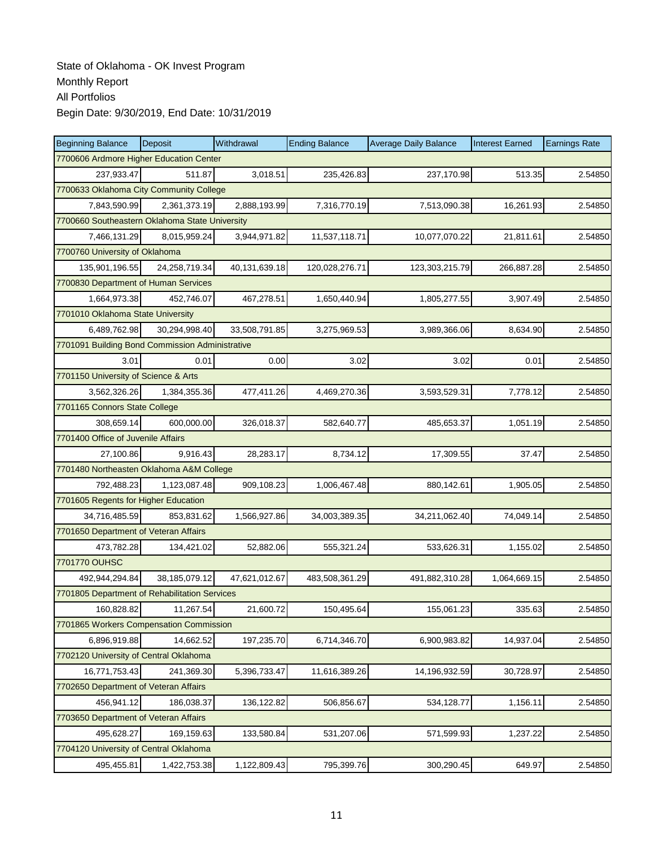| <b>Beginning Balance</b>                        | Deposit                                 | Withdrawal    | <b>Ending Balance</b> | <b>Average Daily Balance</b> | <b>Interest Earned</b> | <b>Earnings Rate</b> |  |  |  |  |
|-------------------------------------------------|-----------------------------------------|---------------|-----------------------|------------------------------|------------------------|----------------------|--|--|--|--|
| 7700606 Ardmore Higher Education Center         |                                         |               |                       |                              |                        |                      |  |  |  |  |
| 237,933.47                                      | 511.87                                  | 3,018.51      | 235,426.83            | 237,170.98                   | 513.35                 | 2.54850              |  |  |  |  |
|                                                 | 7700633 Oklahoma City Community College |               |                       |                              |                        |                      |  |  |  |  |
| 7,843,590.99                                    | 2,361,373.19                            | 2,888,193.99  | 7,316,770.19          | 7,513,090.38                 | 16,261.93              | 2.54850              |  |  |  |  |
| 7700660 Southeastern Oklahoma State University  |                                         |               |                       |                              |                        |                      |  |  |  |  |
| 7,466,131.29                                    | 8,015,959.24                            | 3,944,971.82  | 11,537,118.71         | 10,077,070.22                | 21,811.61              | 2.54850              |  |  |  |  |
| 7700760 University of Oklahoma                  |                                         |               |                       |                              |                        |                      |  |  |  |  |
| 135,901,196.55                                  | 24,258,719.34                           | 40,131,639.18 | 120,028,276.71        | 123,303,215.79               | 266,887.28             | 2.54850              |  |  |  |  |
| 7700830 Department of Human Services            |                                         |               |                       |                              |                        |                      |  |  |  |  |
| 1,664,973.38                                    | 452,746.07                              | 467,278.51    | 1,650,440.94          | 1,805,277.55                 | 3,907.49               | 2.54850              |  |  |  |  |
| 7701010 Oklahoma State University               |                                         |               |                       |                              |                        |                      |  |  |  |  |
| 6,489,762.98                                    | 30,294,998.40                           | 33,508,791.85 | 3,275,969.53          | 3,989,366.06                 | 8,634.90               | 2.54850              |  |  |  |  |
| 7701091 Building Bond Commission Administrative |                                         |               |                       |                              |                        |                      |  |  |  |  |
| 3.01                                            | 0.01                                    | 0.00          | 3.02                  | 3.02                         | 0.01                   | 2.54850              |  |  |  |  |
| 7701150 University of Science & Arts            |                                         |               |                       |                              |                        |                      |  |  |  |  |
| 3,562,326.26                                    | 1,384,355.36                            | 477,411.26    | 4,469,270.36          | 3,593,529.31                 | 7,778.12               | 2.54850              |  |  |  |  |
| 7701165 Connors State College                   |                                         |               |                       |                              |                        |                      |  |  |  |  |
| 308,659.14                                      | 600,000.00                              | 326,018.37    | 582,640.77            | 485,653.37                   | 1,051.19               | 2.54850              |  |  |  |  |
| 7701400 Office of Juvenile Affairs              |                                         |               |                       |                              |                        |                      |  |  |  |  |
| 27,100.86                                       | 9,916.43                                | 28,283.17     | 8,734.12              | 17,309.55                    | 37.47                  | 2.54850              |  |  |  |  |
| 7701480 Northeasten Oklahoma A&M College        |                                         |               |                       |                              |                        |                      |  |  |  |  |
| 792,488.23                                      | 1,123,087.48                            | 909,108.23    | 1,006,467.48          | 880,142.61                   | 1,905.05               | 2.54850              |  |  |  |  |
| 7701605 Regents for Higher Education            |                                         |               |                       |                              |                        |                      |  |  |  |  |
| 34,716,485.59                                   | 853,831.62                              | 1,566,927.86  | 34,003,389.35         | 34,211,062.40                | 74,049.14              | 2.54850              |  |  |  |  |
| 7701650 Department of Veteran Affairs           |                                         |               |                       |                              |                        |                      |  |  |  |  |
| 473,782.28                                      | 134,421.02                              | 52,882.06     | 555,321.24            | 533,626.31                   | 1,155.02               | 2.54850              |  |  |  |  |
| 7701770 OUHSC                                   |                                         |               |                       |                              |                        |                      |  |  |  |  |
| 492,944,294.84                                  | 38,185,079.12                           | 47,621,012.67 | 483,508,361.29        | 491,882,310.28               | 1,064,669.15           | 2.54850              |  |  |  |  |
| 7701805 Department of Rehabilitation Services   |                                         |               |                       |                              |                        |                      |  |  |  |  |
| 160,828.82                                      | 11,267.54                               | 21,600.72     | 150,495.64            | 155,061.23                   | 335.63                 | 2.54850              |  |  |  |  |
| 7701865 Workers Compensation Commission         |                                         |               |                       |                              |                        |                      |  |  |  |  |
| 6,896,919.88                                    | 14,662.52                               | 197,235.70    | 6,714,346.70          | 6,900,983.82                 | 14,937.04              | 2.54850              |  |  |  |  |
| 7702120 University of Central Oklahoma          |                                         |               |                       |                              |                        |                      |  |  |  |  |
| 16,771,753.43                                   | 241,369.30                              | 5,396,733.47  | 11,616,389.26         | 14,196,932.59                | 30,728.97              | 2.54850              |  |  |  |  |
| 7702650 Department of Veteran Affairs           |                                         |               |                       |                              |                        |                      |  |  |  |  |
| 456,941.12                                      | 186,038.37                              | 136,122.82    | 506,856.67            | 534,128.77                   | 1,156.11               | 2.54850              |  |  |  |  |
| 7703650 Department of Veteran Affairs           |                                         |               |                       |                              |                        |                      |  |  |  |  |
| 495,628.27                                      | 169,159.63                              | 133,580.84    | 531,207.06            | 571,599.93                   | 1,237.22               | 2.54850              |  |  |  |  |
| 7704120 University of Central Oklahoma          |                                         |               |                       |                              |                        |                      |  |  |  |  |
| 495,455.81                                      | 1,422,753.38                            | 1,122,809.43  | 795,399.76            | 300,290.45                   | 649.97                 | 2.54850              |  |  |  |  |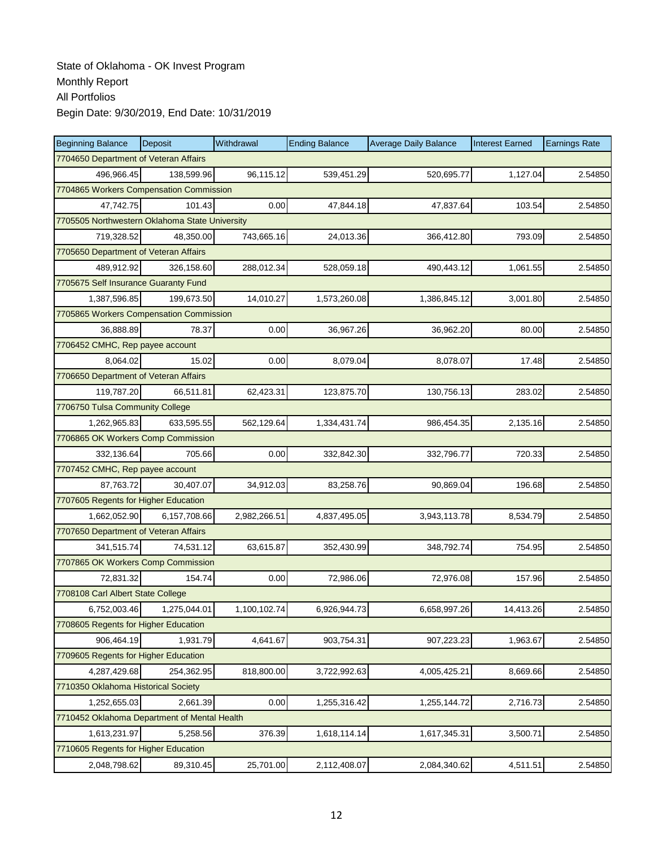| <b>Beginning Balance</b>                       | Deposit      | Withdrawal   | <b>Ending Balance</b> | <b>Average Daily Balance</b> | <b>Interest Earned</b> | <b>Earnings Rate</b> |  |  |  |
|------------------------------------------------|--------------|--------------|-----------------------|------------------------------|------------------------|----------------------|--|--|--|
| 7704650 Department of Veteran Affairs          |              |              |                       |                              |                        |                      |  |  |  |
| 496,966.45                                     | 138,599.96   | 96,115.12    | 539,451.29            | 520,695.77                   | 1,127.04               | 2.54850              |  |  |  |
| 7704865 Workers Compensation Commission        |              |              |                       |                              |                        |                      |  |  |  |
| 47,742.75                                      | 101.43       | 0.00         | 47,844.18             | 47,837.64                    | 103.54                 | 2.54850              |  |  |  |
| 7705505 Northwestern Oklahoma State University |              |              |                       |                              |                        |                      |  |  |  |
| 719,328.52                                     | 48,350.00    | 743,665.16   | 24,013.36             | 366,412.80                   | 793.09                 | 2.54850              |  |  |  |
| 7705650 Department of Veteran Affairs          |              |              |                       |                              |                        |                      |  |  |  |
| 489,912.92                                     | 326,158.60   | 288,012.34   | 528,059.18            | 490,443.12                   | 1,061.55               | 2.54850              |  |  |  |
| 7705675 Self Insurance Guaranty Fund           |              |              |                       |                              |                        |                      |  |  |  |
| 1,387,596.85                                   | 199,673.50   | 14,010.27    | 1,573,260.08          | 1,386,845.12                 | 3,001.80               | 2.54850              |  |  |  |
| 7705865 Workers Compensation Commission        |              |              |                       |                              |                        |                      |  |  |  |
| 36,888.89                                      | 78.37        | 0.00         | 36,967.26             | 36,962.20                    | 80.00                  | 2.54850              |  |  |  |
| 7706452 CMHC, Rep payee account                |              |              |                       |                              |                        |                      |  |  |  |
| 8,064.02                                       | 15.02        | 0.00         | 8,079.04              | 8,078.07                     | 17.48                  | 2.54850              |  |  |  |
| 7706650 Department of Veteran Affairs          |              |              |                       |                              |                        |                      |  |  |  |
| 119,787.20                                     | 66,511.81    | 62,423.31    | 123,875.70            | 130,756.13                   | 283.02                 | 2.54850              |  |  |  |
| 7706750 Tulsa Community College                |              |              |                       |                              |                        |                      |  |  |  |
| 1,262,965.83                                   | 633,595.55   | 562,129.64   | 1,334,431.74          | 986,454.35                   | 2,135.16               | 2.54850              |  |  |  |
| 7706865 OK Workers Comp Commission             |              |              |                       |                              |                        |                      |  |  |  |
| 332,136.64                                     | 705.66       | 0.00         | 332,842.30            | 332,796.77                   | 720.33                 | 2.54850              |  |  |  |
| 7707452 CMHC, Rep payee account                |              |              |                       |                              |                        |                      |  |  |  |
| 87,763.72                                      | 30,407.07    | 34,912.03    | 83,258.76             | 90,869.04                    | 196.68                 | 2.54850              |  |  |  |
| 7707605 Regents for Higher Education           |              |              |                       |                              |                        |                      |  |  |  |
| 1,662,052.90                                   | 6,157,708.66 | 2,982,266.51 | 4,837,495.05          | 3,943,113.78                 | 8,534.79               | 2.54850              |  |  |  |
| 7707650 Department of Veteran Affairs          |              |              |                       |                              |                        |                      |  |  |  |
| 341,515.74                                     | 74,531.12    | 63,615.87    | 352,430.99            | 348,792.74                   | 754.95                 | 2.54850              |  |  |  |
| 7707865 OK Workers Comp Commission             |              |              |                       |                              |                        |                      |  |  |  |
| 72,831.32                                      | 154.74       | 0.00         | 72,986.06             | 72,976.08                    | 157.96                 | 2.54850              |  |  |  |
| 7708108 Carl Albert State College              |              |              |                       |                              |                        |                      |  |  |  |
| 6,752,003.46                                   | 1,275,044.01 | 1,100,102.74 | 6,926,944.73          | 6,658,997.26                 | 14,413.26              | 2.54850              |  |  |  |
| 7708605 Regents for Higher Education           |              |              |                       |                              |                        |                      |  |  |  |
| 906,464.19                                     | 1,931.79     | 4,641.67     | 903,754.31            | 907,223.23                   | 1,963.67               | 2.54850              |  |  |  |
| 7709605 Regents for Higher Education           |              |              |                       |                              |                        |                      |  |  |  |
| 4,287,429.68                                   | 254,362.95   | 818,800.00   | 3,722,992.63          | 4,005,425.21                 | 8,669.66               | 2.54850              |  |  |  |
| 7710350 Oklahoma Historical Society            |              |              |                       |                              |                        |                      |  |  |  |
| 1,252,655.03                                   | 2,661.39     | 0.00         | 1,255,316.42          | 1,255,144.72                 | 2,716.73               | 2.54850              |  |  |  |
| 7710452 Oklahoma Department of Mental Health   |              |              |                       |                              |                        |                      |  |  |  |
| 1,613,231.97                                   | 5.258.56     | 376.39       | 1,618,114.14          | 1,617,345.31                 | 3,500.71               | 2.54850              |  |  |  |
| 7710605 Regents for Higher Education           |              |              |                       |                              |                        |                      |  |  |  |
| 2,048,798.62                                   | 89,310.45    | 25,701.00    | 2,112,408.07          | 2,084,340.62                 | 4,511.51               | 2.54850              |  |  |  |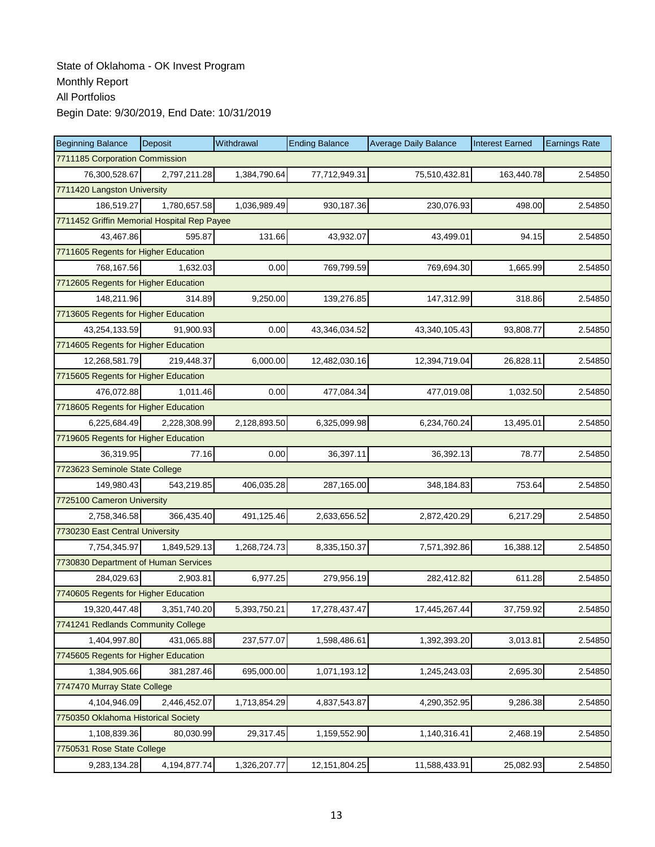| <b>Beginning Balance</b>                    | Deposit      | Withdrawal   | <b>Ending Balance</b> | <b>Average Daily Balance</b> | <b>Interest Earned</b> | <b>Earnings Rate</b> |  |  |
|---------------------------------------------|--------------|--------------|-----------------------|------------------------------|------------------------|----------------------|--|--|
| 7711185 Corporation Commission              |              |              |                       |                              |                        |                      |  |  |
| 76,300,528.67                               | 2,797,211.28 | 1,384,790.64 | 77,712,949.31         | 75,510,432.81                | 163,440.78             | 2.54850              |  |  |
| 7711420 Langston University                 |              |              |                       |                              |                        |                      |  |  |
| 186,519.27                                  | 1,780,657.58 | 1,036,989.49 | 930,187.36            | 230,076.93                   | 498.00                 | 2.54850              |  |  |
| 7711452 Griffin Memorial Hospital Rep Payee |              |              |                       |                              |                        |                      |  |  |
| 43,467.86                                   | 595.87       | 131.66       | 43,932.07             | 43,499.01                    | 94.15                  | 2.54850              |  |  |
| 7711605 Regents for Higher Education        |              |              |                       |                              |                        |                      |  |  |
| 768,167.56                                  | 1,632.03     | 0.00         | 769,799.59            | 769,694.30                   | 1,665.99               | 2.54850              |  |  |
| 7712605 Regents for Higher Education        |              |              |                       |                              |                        |                      |  |  |
| 148,211.96                                  | 314.89       | 9,250.00     | 139,276.85            | 147,312.99                   | 318.86                 | 2.54850              |  |  |
| 7713605 Regents for Higher Education        |              |              |                       |                              |                        |                      |  |  |
| 43,254,133.59                               | 91,900.93    | 0.00         | 43,346,034.52         | 43,340,105.43                | 93,808.77              | 2.54850              |  |  |
| 7714605 Regents for Higher Education        |              |              |                       |                              |                        |                      |  |  |
| 12,268,581.79                               | 219,448.37   | 6,000.00     | 12,482,030.16         | 12,394,719.04                | 26,828.11              | 2.54850              |  |  |
| 7715605 Regents for Higher Education        |              |              |                       |                              |                        |                      |  |  |
| 476,072.88                                  | 1,011.46     | 0.00         | 477,084.34            | 477,019.08                   | 1,032.50               | 2.54850              |  |  |
| 7718605 Regents for Higher Education        |              |              |                       |                              |                        |                      |  |  |
| 6,225,684.49                                | 2.228.308.99 | 2,128,893.50 | 6,325,099.98          | 6,234,760.24                 | 13,495.01              | 2.54850              |  |  |
| 7719605 Regents for Higher Education        |              |              |                       |                              |                        |                      |  |  |
| 36,319.95                                   | 77.16        | 0.00         | 36,397.11             | 36,392.13                    | 78.77                  | 2.54850              |  |  |
| 7723623 Seminole State College              |              |              |                       |                              |                        |                      |  |  |
| 149,980.43                                  | 543,219.85   | 406,035.28   | 287,165.00            | 348,184.83                   | 753.64                 | 2.54850              |  |  |
| 7725100 Cameron University                  |              |              |                       |                              |                        |                      |  |  |
| 2,758,346.58                                | 366,435.40   | 491,125.46   | 2,633,656.52          | 2,872,420.29                 | 6,217.29               | 2.54850              |  |  |
| 7730230 East Central University             |              |              |                       |                              |                        |                      |  |  |
| 7,754,345.97                                | 1,849,529.13 | 1,268,724.73 | 8,335,150.37          | 7,571,392.86                 | 16,388.12              | 2.54850              |  |  |
| 7730830 Department of Human Services        |              |              |                       |                              |                        |                      |  |  |
| 284,029.63                                  | 2,903.81     | 6,977.25     | 279,956.19            | 282,412.82                   | 611.28                 | 2.54850              |  |  |
| 7740605 Regents for Higher Education        |              |              |                       |                              |                        |                      |  |  |
| 19,320,447.48                               | 3,351,740.20 | 5,393,750.21 | 17,278,437.47         | 17,445,267.44                | 37,759.92              | 2.54850              |  |  |
| 7741241 Redlands Community College          |              |              |                       |                              |                        |                      |  |  |
| 1,404,997.80                                | 431,065.88   | 237,577.07   | 1,598,486.61          | 1,392,393.20                 | 3,013.81               | 2.54850              |  |  |
| 7745605 Regents for Higher Education        |              |              |                       |                              |                        |                      |  |  |
| 1,384,905.66                                | 381,287.46   | 695,000.00   | 1,071,193.12          | 1,245,243.03                 | 2,695.30               | 2.54850              |  |  |
| 7747470 Murray State College                |              |              |                       |                              |                        |                      |  |  |
| 4,104,946.09                                | 2,446,452.07 | 1,713,854.29 | 4,837,543.87          | 4,290,352.95                 | 9,286.38               | 2.54850              |  |  |
| 7750350 Oklahoma Historical Society         |              |              |                       |                              |                        |                      |  |  |
| 1,108,839.36                                | 80,030.99    | 29,317.45    | 1,159,552.90          | 1,140,316.41                 | 2,468.19               | 2.54850              |  |  |
| 7750531 Rose State College                  |              |              |                       |                              |                        |                      |  |  |
| 9,283,134.28                                | 4,194,877.74 | 1,326,207.77 | 12, 151, 804. 25      | 11,588,433.91                | 25,082.93              | 2.54850              |  |  |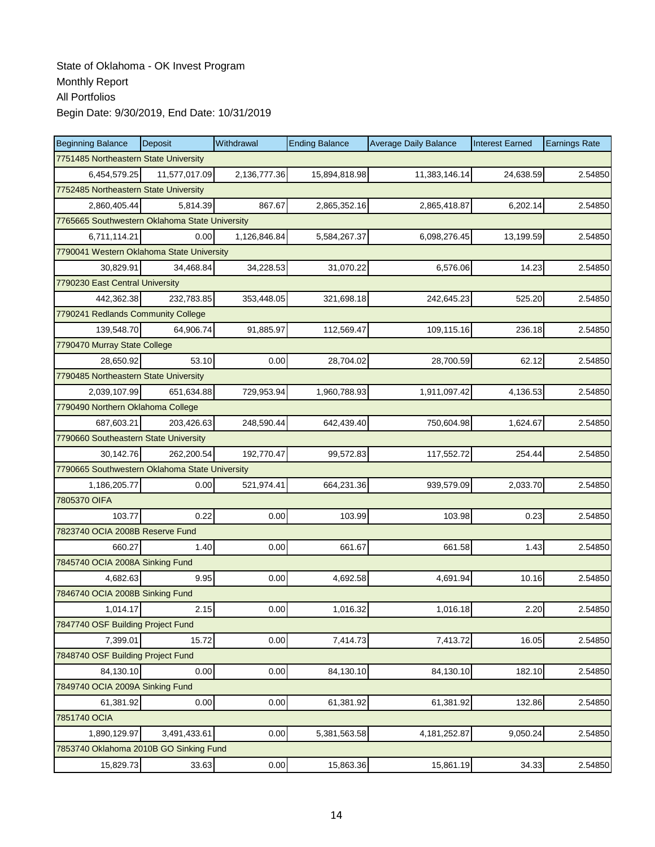| <b>Beginning Balance</b>                       | Deposit       | Withdrawal   | <b>Ending Balance</b> | <b>Average Daily Balance</b> | <b>Interest Earned</b> | <b>Earnings Rate</b> |  |  |
|------------------------------------------------|---------------|--------------|-----------------------|------------------------------|------------------------|----------------------|--|--|
| 7751485 Northeastern State University          |               |              |                       |                              |                        |                      |  |  |
| 6,454,579.25                                   | 11,577,017.09 | 2,136,777.36 | 15,894,818.98         | 11,383,146.14                | 24,638.59              | 2.54850              |  |  |
| 7752485 Northeastern State University          |               |              |                       |                              |                        |                      |  |  |
| 2,860,405.44                                   | 5,814.39      | 867.67       | 2,865,352.16          | 2,865,418.87                 | 6,202.14               | 2.54850              |  |  |
| 7765665 Southwestern Oklahoma State University |               |              |                       |                              |                        |                      |  |  |
| 6,711,114.21                                   | 0.00          | 1,126,846.84 | 5,584,267.37          | 6,098,276.45                 | 13,199.59              | 2.54850              |  |  |
| 7790041 Western Oklahoma State University      |               |              |                       |                              |                        |                      |  |  |
| 30,829.91                                      | 34,468.84     | 34,228.53    | 31,070.22             | 6,576.06                     | 14.23                  | 2.54850              |  |  |
| 7790230 East Central University                |               |              |                       |                              |                        |                      |  |  |
| 442,362.38                                     | 232,783.85    | 353,448.05   | 321,698.18            | 242,645.23                   | 525.20                 | 2.54850              |  |  |
| 7790241 Redlands Community College             |               |              |                       |                              |                        |                      |  |  |
| 139,548.70                                     | 64,906.74     | 91,885.97    | 112,569.47            | 109,115.16                   | 236.18                 | 2.54850              |  |  |
| 7790470 Murray State College                   |               |              |                       |                              |                        |                      |  |  |
| 28.650.92                                      | 53.10         | 0.00         | 28,704.02             | 28,700.59                    | 62.12                  | 2.54850              |  |  |
| 7790485 Northeastern State University          |               |              |                       |                              |                        |                      |  |  |
| 2,039,107.99                                   | 651,634.88    | 729,953.94   | 1,960,788.93          | 1,911,097.42                 | 4,136.53               | 2.54850              |  |  |
| 7790490 Northern Oklahoma College              |               |              |                       |                              |                        |                      |  |  |
| 687,603.21                                     | 203.426.63    | 248,590.44   | 642,439.40            | 750,604.98                   | 1.624.67               | 2.54850              |  |  |
| 7790660 Southeastern State University          |               |              |                       |                              |                        |                      |  |  |
| 30,142.76                                      | 262,200.54    | 192,770.47   | 99,572.83             | 117,552.72                   | 254.44                 | 2.54850              |  |  |
| 7790665 Southwestern Oklahoma State University |               |              |                       |                              |                        |                      |  |  |
| 1,186,205.77                                   | 0.00          | 521,974.41   | 664,231.36            | 939,579.09                   | 2,033.70               | 2.54850              |  |  |
| 7805370 OIFA                                   |               |              |                       |                              |                        |                      |  |  |
| 103.77                                         | 0.22          | 0.00         | 103.99                | 103.98                       | 0.23                   | 2.54850              |  |  |
| 7823740 OCIA 2008B Reserve Fund                |               |              |                       |                              |                        |                      |  |  |
| 660.27                                         | 1.40          | 0.00         | 661.67                | 661.58                       | 1.43                   | 2.54850              |  |  |
| 7845740 OCIA 2008A Sinking Fund                |               |              |                       |                              |                        |                      |  |  |
| 4,682.63                                       | 9.95          | 0.00         | 4,692.58              | 4,691.94                     | 10.16                  | 2.54850              |  |  |
| 7846740 OCIA 2008B Sinking Fund                |               |              |                       |                              |                        |                      |  |  |
| 1,014.17                                       | 2.15          | 0.00         | 1,016.32              | 1,016.18                     | 2.20                   | 2.54850              |  |  |
| 7847740 OSF Building Project Fund              |               |              |                       |                              |                        |                      |  |  |
| 7,399.01                                       | 15.72         | 0.00         | 7,414.73              | 7,413.72                     | 16.05                  | 2.54850              |  |  |
| 7848740 OSF Building Project Fund              |               |              |                       |                              |                        |                      |  |  |
| 84,130.10                                      | 0.00          | 0.00         | 84,130.10             | 84,130.10                    | 182.10                 | 2.54850              |  |  |
| 7849740 OCIA 2009A Sinking Fund                |               |              |                       |                              |                        |                      |  |  |
| 61,381.92                                      | 0.00          | 0.00         | 61,381.92             | 61,381.92                    | 132.86                 | 2.54850              |  |  |
| 7851740 OCIA                                   |               |              |                       |                              |                        |                      |  |  |
| 1,890,129.97                                   | 3,491,433.61  | 0.00         | 5,381,563.58          | 4, 181, 252.87               | 9,050.24               | 2.54850              |  |  |
| 7853740 Oklahoma 2010B GO Sinking Fund         |               |              |                       |                              |                        |                      |  |  |
| 15,829.73                                      | 33.63         | 0.00         | 15,863.36             | 15,861.19                    | 34.33                  | 2.54850              |  |  |